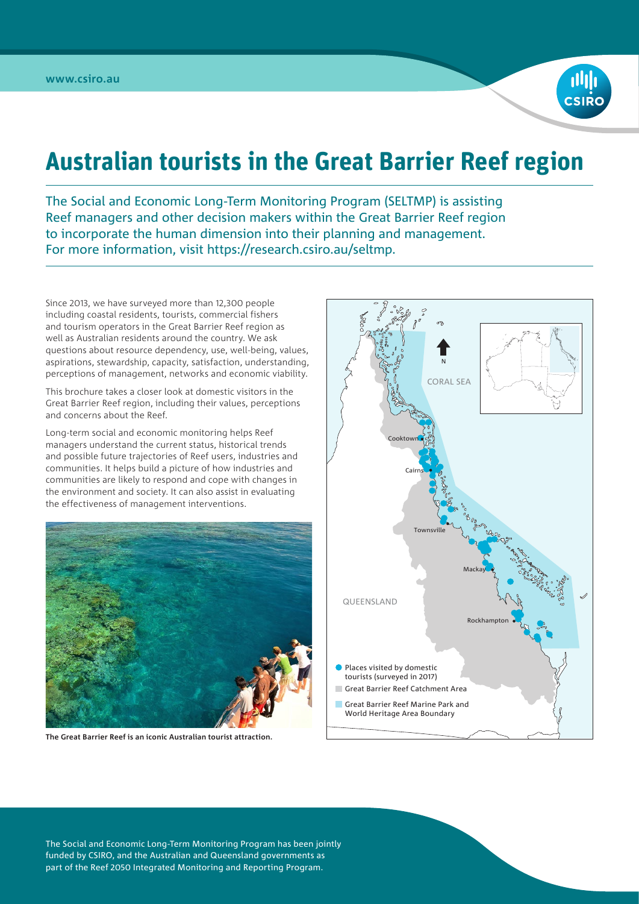

## **Australian tourists in the Great Barrier Reef region**

The Social and Economic Long-Term Monitoring Program (SELTMP) is assisting Reef managers and other decision makers within the Great Barrier Reef region to incorporate the human dimension into their planning and management. For more information, visit [https://research.csiro.au/seltmp](https://research.csiro.au/seltmp/).

Since 2013, we have surveyed more than 12,300 people including coastal residents, tourists, commercial fishers and tourism operators in the Great Barrier Reef region as well as Australian residents around the country. We ask questions about resource dependency, use, well-being, values, aspirations, stewardship, capacity, satisfaction, understanding, perceptions of management, networks and economic viability.

This brochure takes a closer look at domestic visitors in the Great Barrier Reef region, including their values, perceptions and concerns about the Reef.

Long-term social and economic monitoring helps Reef managers understand the current status, historical trends and possible future trajectories of Reef users, industries and communities. It helps build a picture of how industries and communities are likely to respond and cope with changes in the environment and society. It can also assist in evaluating the effectiveness of management interventions.



**The Great Barrier Reef is an iconic Australian tourist attraction.**



The Social and Economic Long-Term Monitoring Program has been jointly funded by CSIRO, and the Australian and Queensland governments as part of the Reef 2050 Integrated Monitoring and Reporting Program.